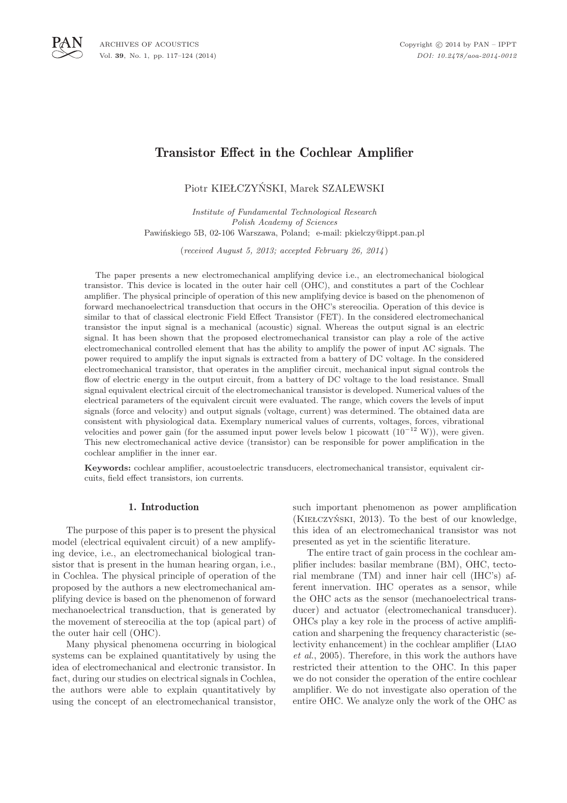

# Transistor Effect in the Cochlear Amplifier

Piotr KIEŁCZYŃSKI, Marek SZALEWSKI

*Institute of Fundamental Technological Research Polish Academy of Sciences* Pawińskiego 5B, 02-106 Warszawa, Poland; e-mail: pkielczy@ippt.pan.pl

(*received August 5, 2013; accepted February 26, 2014*)

The paper presents a new electromechanical amplifying device i.e., an electromechanical biological transistor. This device is located in the outer hair cell (OHC), and constitutes a part of the Cochlear amplifier. The physical principle of operation of this new amplifying device is based on the phenomenon of forward mechanoelectrical transduction that occurs in the OHC's stereocilia. Operation of this device is similar to that of classical electronic Field Effect Transistor (FET). In the considered electromechanical transistor the input signal is a mechanical (acoustic) signal. Whereas the output signal is an electric signal. It has been shown that the proposed electromechanical transistor can play a role of the active electromechanical controlled element that has the ability to amplify the power of input AC signals. The power required to amplify the input signals is extracted from a battery of DC voltage. In the considered electromechanical transistor, that operates in the amplifier circuit, mechanical input signal controls the flow of electric energy in the output circuit, from a battery of DC voltage to the load resistance. Small signal equivalent electrical circuit of the electromechanical transistor is developed. Numerical values of the electrical parameters of the equivalent circuit were evaluated. The range, which covers the levels of input signals (force and velocity) and output signals (voltage, current) was determined. The obtained data are consistent with physiological data. Exemplary numerical values of currents, voltages, forces, vibrational velocities and power gain (for the assumed input power levels below 1 picowatt  $(10^{-12} \text{ W})$ ), were given. This new electromechanical active device (transistor) can be responsible for power amplification in the cochlear amplifier in the inner ear.

**Keywords:** cochlear amplifier, acoustoelectric transducers, electromechanical transistor, equivalent circuits, field effect transistors, ion currents.

### 1. Introduction

The purpose of this paper is to present the physical model (electrical equivalent circuit) of a new amplifying device, i.e., an electromechanical biological transistor that is present in the human hearing organ, i.e., in Cochlea. The physical principle of operation of the proposed by the authors a new electromechanical amplifying device is based on the phenomenon of forward mechanoelectrical transduction, that is generated by the movement of stereocilia at the top (apical part) of the outer hair cell (OHC).

Many physical phenomena occurring in biological systems can be explained quantitatively by using the idea of electromechanical and electronic transistor. In fact, during our studies on electrical signals in Cochlea, the authors were able to explain quantitatively by using the concept of an electromechanical transistor, such important phenomenon as power amplification (Kiełczyński, 2013). To the best of our knowledge, this idea of an electromechanical transistor was not presented as yet in the scientific literature.

The entire tract of gain process in the cochlear amplifier includes: basilar membrane (BM), OHC, tectorial membrane (TM) and inner hair cell (IHC's) afferent innervation. IHC operates as a sensor, while the OHC acts as the sensor (mechanoelectrical transducer) and actuator (electromechanical transducer). OHCs play a key role in the process of active amplification and sharpening the frequency characteristic (selectivity enhancement) in the cochlear amplifier (Liao *et al.*, 2005). Therefore, in this work the authors have restricted their attention to the OHC. In this paper we do not consider the operation of the entire cochlear amplifier. We do not investigate also operation of the entire OHC. We analyze only the work of the OHC as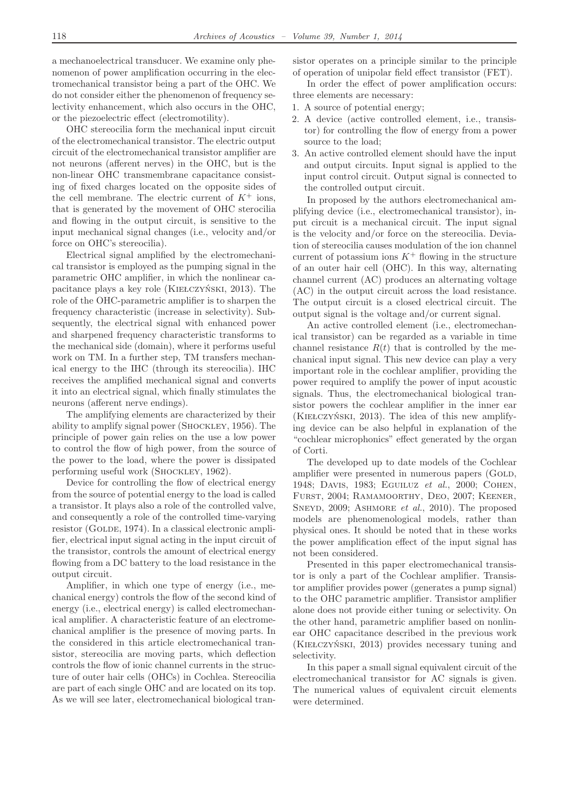a mechanoelectrical transducer. We examine only phenomenon of power amplification occurring in the electromechanical transistor being a part of the OHC. We do not consider either the phenomenon of frequency selectivity enhancement, which also occurs in the OHC, or the piezoelectric effect (electromotility).

OHC stereocilia form the mechanical input circuit of the electromechanical transistor. The electric output circuit of the electromechanical transistor amplifier are not neurons (afferent nerves) in the OHC, but is the non-linear OHC transmembrane capacitance consisting of fixed charges located on the opposite sides of the cell membrane. The electric current of  $K^+$  ions, that is generated by the movement of OHC sterocilia and flowing in the output circuit, is sensitive to the input mechanical signal changes (i.e., velocity and/or force on OHC's stereocilia).

Electrical signal amplified by the electromechanical transistor is employed as the pumping signal in the parametric OHC amplifier, in which the nonlinear capacitance plays a key role (Kiełczyński, 2013). The role of the OHC-parametric amplifier is to sharpen the frequency characteristic (increase in selectivity). Subsequently, the electrical signal with enhanced power and sharpened frequency characteristic transforms to the mechanical side (domain), where it performs useful work on TM. In a further step, TM transfers mechanical energy to the IHC (through its stereocilia). IHC receives the amplified mechanical signal and converts it into an electrical signal, which finally stimulates the neurons (afferent nerve endings).

The amplifying elements are characterized by their ability to amplify signal power (Shockley, 1956). The principle of power gain relies on the use a low power to control the flow of high power, from the source of the power to the load, where the power is dissipated performing useful work (Shockley, 1962).

Device for controlling the flow of electrical energy from the source of potential energy to the load is called a transistor. It plays also a role of the controlled valve, and consequently a role of the controlled time-varying resistor (GOLDE, 1974). In a classical electronic amplifier, electrical input signal acting in the input circuit of the transistor, controls the amount of electrical energy flowing from a DC battery to the load resistance in the output circuit.

Amplifier, in which one type of energy (i.e., mechanical energy) controls the flow of the second kind of energy (i.e., electrical energy) is called electromechanical amplifier. A characteristic feature of an electromechanical amplifier is the presence of moving parts. In the considered in this article electromechanical transistor, stereocilia are moving parts, which deflection controls the flow of ionic channel currents in the structure of outer hair cells (OHCs) in Cochlea. Stereocilia are part of each single OHC and are located on its top. As we will see later, electromechanical biological tran-

sistor operates on a principle similar to the principle of operation of unipolar field effect transistor (FET).

In order the effect of power amplification occurs: three elements are necessary:

- 1. A source of potential energy;
- 2. A device (active controlled element, i.e., transistor) for controlling the flow of energy from a power source to the load;
- 3. An active controlled element should have the input and output circuits. Input signal is applied to the input control circuit. Output signal is connected to the controlled output circuit.

In proposed by the authors electromechanical amplifying device (i.e., electromechanical transistor), input circuit is a mechanical circuit. The input signal is the velocity and/or force on the stereocilia. Deviation of stereocilia causes modulation of the ion channel current of potassium ions  $K^+$  flowing in the structure of an outer hair cell (OHC). In this way, alternating channel current (AC) produces an alternating voltage (AC) in the output circuit across the load resistance. The output circuit is a closed electrical circuit. The output signal is the voltage and/or current signal.

An active controlled element (i.e., electromechanical transistor) can be regarded as a variable in time channel resistance  $R(t)$  that is controlled by the mechanical input signal. This new device can play a very important role in the cochlear amplifier, providing the power required to amplify the power of input acoustic signals. Thus, the electromechanical biological transistor powers the cochlear amplifier in the inner ear (Kiełczyński, 2013). The idea of this new amplifying device can be also helpful in explanation of the "cochlear microphonics" effect generated by the organ of Corti.

The developed up to date models of the Cochlear amplifier were presented in numerous papers (GOLD, 1948; Davis, 1983; Eguiluz *et al.*, 2000; Cohen, Furst, 2004; Ramamoorthy, Deo, 2007; Keener, SNEYD, 2009; ASHMORE *et al.*, 2010). The proposed models are phenomenological models, rather than physical ones. It should be noted that in these works the power amplification effect of the input signal has not been considered.

Presented in this paper electromechanical transistor is only a part of the Cochlear amplifier. Transistor amplifier provides power (generates a pump signal) to the OHC parametric amplifier. Transistor amplifier alone does not provide either tuning or selectivity. On the other hand, parametric amplifier based on nonlinear OHC capacitance described in the previous work (Kiełczyński, 2013) provides necessary tuning and selectivity.

In this paper a small signal equivalent circuit of the electromechanical transistor for AC signals is given. The numerical values of equivalent circuit elements were determined.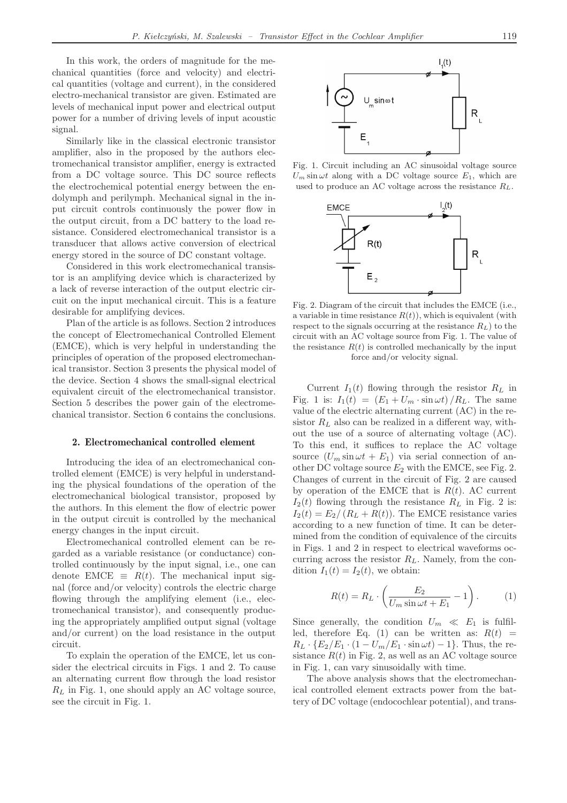In this work, the orders of magnitude for the mechanical quantities (force and velocity) and electrical quantities (voltage and current), in the considered electro-mechanical transistor are given. Estimated are levels of mechanical input power and electrical output power for a number of driving levels of input acoustic signal.

Similarly like in the classical electronic transistor amplifier, also in the proposed by the authors electromechanical transistor amplifier, energy is extracted from a DC voltage source. This DC source reflects the electrochemical potential energy between the endolymph and perilymph. Mechanical signal in the input circuit controls continuously the power flow in the output circuit, from a DC battery to the load resistance. Considered electromechanical transistor is a transducer that allows active conversion of electrical energy stored in the source of DC constant voltage.

Considered in this work electromechanical transistor is an amplifying device which is characterized by a lack of reverse interaction of the output electric circuit on the input mechanical circuit. This is a feature desirable for amplifying devices.

Plan of the article is as follows. Section 2 introduces the concept of Electromechanical Controlled Element (EMCE), which is very helpful in understanding the principles of operation of the proposed electromechanical transistor. Section 3 presents the physical model of the device. Section 4 shows the small-signal electrical equivalent circuit of the electromechanical transistor. Section 5 describes the power gain of the electromechanical transistor. Section 6 contains the conclusions.

### 2. Electromechanical controlled element

Introducing the idea of an electromechanical controlled element (EMCE) is very helpful in understanding the physical foundations of the operation of the electromechanical biological transistor, proposed by the authors. In this element the flow of electric power in the output circuit is controlled by the mechanical energy changes in the input circuit.

Electromechanical controlled element can be regarded as a variable resistance (or conductance) controlled continuously by the input signal, i.e., one can denote EMCE  $\equiv R(t)$ . The mechanical input signal (force and/or velocity) controls the electric charge flowing through the amplifying element (i.e., electromechanical transistor), and consequently producing the appropriately amplified output signal (voltage and/or current) on the load resistance in the output circuit.

To explain the operation of the EMCE, let us consider the electrical circuits in Figs. 1 and 2. To cause an alternating current flow through the load resistor  $R_L$  in Fig. 1, one should apply an AC voltage source, see the circuit in Fig. 1.



Fig. 1. Circuit including an AC sinusoidal voltage source  $U_m \sin \omega t$  along with a DC voltage source  $E_1$ , which are used to produce an AC voltage across the resistance  $R_L$ .



Fig. 2. Diagram of the circuit that includes the EMCE (i.e., a variable in time resistance  $R(t)$ ), which is equivalent (with respect to the signals occurring at the resistance  $R_L$ ) to the circuit with an AC voltage source from Fig. 1. The value of the resistance  $R(t)$  is controlled mechanically by the input force and/or velocity signal.

Current  $I_1(t)$  flowing through the resistor  $R_L$  in Fig. 1 is:  $I_1(t) = (E_1 + U_m \cdot \sin \omega t)/R_L$ . The same value of the electric alternating current (AC) in the resistor  $R_L$  also can be realized in a different way, without the use of a source of alternating voltage (AC). To this end, it suffices to replace the AC voltage source  $(U_m \sin \omega t + E_1)$  via serial connection of another DC voltage source  $E_2$  with the EMCE, see Fig. 2. Changes of current in the circuit of Fig. 2 are caused by operation of the EMCE that is  $R(t)$ . AC current  $I_2(t)$  flowing through the resistance  $R_L$  in Fig. 2 is:  $I_2(t) = E_2 / (R_L + R(t))$ . The EMCE resistance varies according to a new function of time. It can be determined from the condition of equivalence of the circuits in Figs. 1 and 2 in respect to electrical waveforms occurring across the resistor  $R_L$ . Namely, from the condition  $I_1(t) = I_2(t)$ , we obtain:

$$
R(t) = R_L \cdot \left(\frac{E_2}{U_m \sin \omega t + E_1} - 1\right). \tag{1}
$$

Since generally, the condition  $U_m \ll E_1$  is fulfilled, therefore Eq. (1) can be written as:  $R(t)$  =  $R_L \cdot \{E_2/E_1 \cdot (1-U_m/E_1 \cdot \sin \omega t) - 1\}$ . Thus, the resistance  $R(t)$  in Fig. 2, as well as an AC voltage source in Fig. 1, can vary sinusoidally with time.

The above analysis shows that the electromechanical controlled element extracts power from the battery of DC voltage (endocochlear potential), and trans-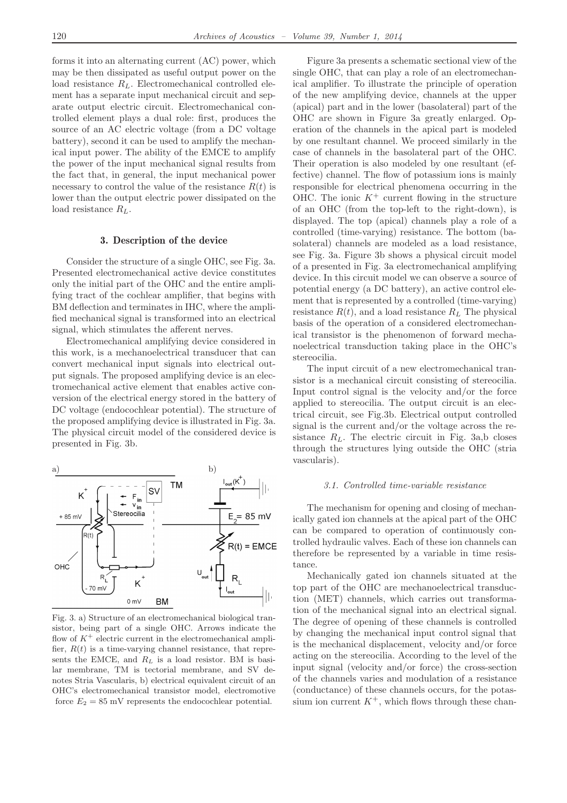forms it into an alternating current (AC) power, which may be then dissipated as useful output power on the load resistance  $R_L$ . Electromechanical controlled element has a separate input mechanical circuit and separate output electric circuit. Electromechanical controlled element plays a dual role: first, produces the source of an AC electric voltage (from a DC voltage battery), second it can be used to amplify the mechanical input power. The ability of the EMCE to amplify the power of the input mechanical signal results from the fact that, in general, the input mechanical power necessary to control the value of the resistance  $R(t)$  is lower than the output electric power dissipated on the load resistance  $R_L$ .

#### 3. Description of the device

Consider the structure of a single OHC, see Fig. 3a. Presented electromechanical active device constitutes only the initial part of the OHC and the entire amplifying tract of the cochlear amplifier, that begins with BM deflection and terminates in IHC, where the amplified mechanical signal is transformed into an electrical signal, which stimulates the afferent nerves.

Electromechanical amplifying device considered in this work, is a mechanoelectrical transducer that can convert mechanical input signals into electrical output signals. The proposed amplifying device is an electromechanical active element that enables active conversion of the electrical energy stored in the battery of DC voltage (endocochlear potential). The structure of the proposed amplifying device is illustrated in Fig. 3a. The physical circuit model of the considered device is presented in Fig. 3b.



Fig. 3. a) Structure of an electromechanical biological transistor, being part of a single OHC. Arrows indicate the flow of  $K^+$  electric current in the electromechanical amplifier,  $R(t)$  is a time-varying channel resistance, that represents the EMCE, and  $R_L$  is a load resistor. BM is basilar membrane, TM is tectorial membrane, and SV denotes Stria Vascularis, b) electrical equivalent circuit of an OHC's electromechanical transistor model, electromotive force  $E_2 = 85$  mV represents the endocochlear potential.

Figure 3a presents a schematic sectional view of the single OHC, that can play a role of an electromechanical amplifier. To illustrate the principle of operation of the new amplifying device, channels at the upper (apical) part and in the lower (basolateral) part of the OHC are shown in Figure 3a greatly enlarged. Operation of the channels in the apical part is modeled by one resultant channel. We proceed similarly in the case of channels in the basolateral part of the OHC. Their operation is also modeled by one resultant (effective) channel. The flow of potassium ions is mainly responsible for electrical phenomena occurring in the OHC. The ionic  $K^+$  current flowing in the structure of an OHC (from the top-left to the right-down), is displayed. The top (apical) channels play a role of a controlled (time-varying) resistance. The bottom (basolateral) channels are modeled as a load resistance, see Fig. 3a. Figure 3b shows a physical circuit model of a presented in Fig. 3a electromechanical amplifying device. In this circuit model we can observe a source of potential energy (a DC battery), an active control element that is represented by a controlled (time-varying) resistance  $R(t)$ , and a load resistance  $R<sub>L</sub>$  The physical basis of the operation of a considered electromechanical transistor is the phenomenon of forward mechanoelectrical transduction taking place in the OHC's stereocilia.

The input circuit of a new electromechanical transistor is a mechanical circuit consisting of stereocilia. Input control signal is the velocity and/or the force applied to stereocilia. The output circuit is an electrical circuit, see Fig.3b. Electrical output controlled signal is the current and/or the voltage across the resistance  $R_L$ . The electric circuit in Fig. 3a,b closes through the structures lying outside the OHC (stria vascularis).

#### *3.1. Controlled time-variable resistance*

The mechanism for opening and closing of mechanically gated ion channels at the apical part of the OHC can be compared to operation of continuously controlled hydraulic valves. Each of these ion channels can therefore be represented by a variable in time resistance.

Mechanically gated ion channels situated at the top part of the OHC are mechanoelectrical transduction (MET) channels, which carries out transformation of the mechanical signal into an electrical signal. The degree of opening of these channels is controlled by changing the mechanical input control signal that is the mechanical displacement, velocity and/or force acting on the stereocilia. According to the level of the input signal (velocity and/or force) the cross-section of the channels varies and modulation of a resistance (conductance) of these channels occurs, for the potassium ion current  $K^+$ , which flows through these chan-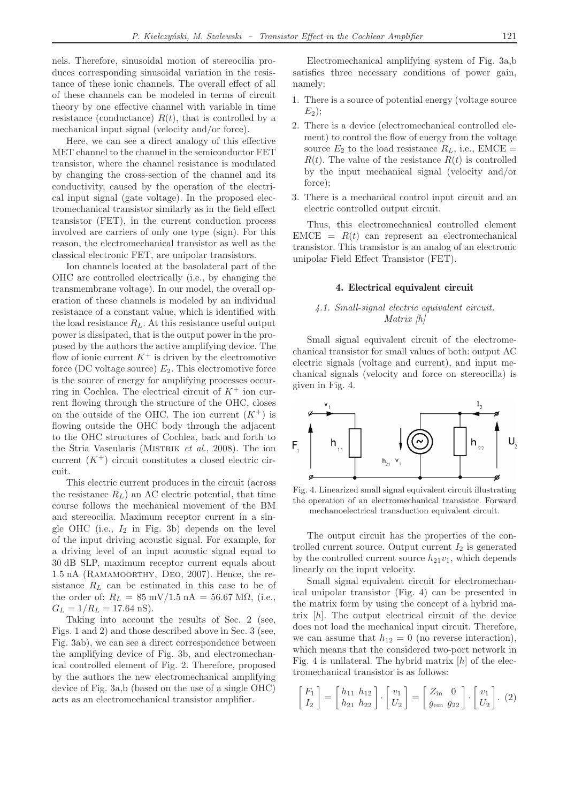nels. Therefore, sinusoidal motion of stereocilia produces corresponding sinusoidal variation in the resistance of these ionic channels. The overall effect of all of these channels can be modeled in terms of circuit theory by one effective channel with variable in time resistance (conductance)  $R(t)$ , that is controlled by a mechanical input signal (velocity and/or force).

Here, we can see a direct analogy of this effective MET channel to the channel in the semiconductor FET transistor, where the channel resistance is modulated by changing the cross-section of the channel and its conductivity, caused by the operation of the electrical input signal (gate voltage). In the proposed electromechanical transistor similarly as in the field effect transistor (FET), in the current conduction process involved are carriers of only one type (sign). For this reason, the electromechanical transistor as well as the classical electronic FET, are unipolar transistors.

Ion channels located at the basolateral part of the OHC are controlled electrically (i.e., by changing the transmembrane voltage). In our model, the overall operation of these channels is modeled by an individual resistance of a constant value, which is identified with the load resistance  $R_L$ . At this resistance useful output power is dissipated, that is the output power in the proposed by the authors the active amplifying device. The flow of ionic current  $K^+$  is driven by the electromotive force (DC voltage source)  $E_2$ . This electromotive force is the source of energy for amplifying processes occurring in Cochlea. The electrical circuit of  $K^+$  ion current flowing through the structure of the OHC, closes on the outside of the OHC. The ion current  $(K^+)$  is flowing outside the OHC body through the adjacent to the OHC structures of Cochlea, back and forth to the Stria Vascularis (MISTRIK *et al.*, 2008). The ion current  $(K^+)$  circuit constitutes a closed electric circuit.

This electric current produces in the circuit (across the resistance  $R_L$ ) an AC electric potential, that time course follows the mechanical movement of the BM and stereocilia. Maximum receptor current in a single OHC (i.e.,  $I_2$  in Fig. 3b) depends on the level of the input driving acoustic signal. For example, for a driving level of an input acoustic signal equal to 30 dB SLP, maximum receptor current equals about 1.5 nA (Ramamoorthy, Deo, 2007). Hence, the resistance  $R_L$  can be estimated in this case to be of the order of:  $R_L = 85 \text{ mV} / 1.5 \text{ nA} = 56.67 \text{ M}.$  (i.e.,  $G_L = 1/R_L = 17.64$  nS).

Taking into account the results of Sec. 2 (see, Figs. 1 and 2) and those described above in Sec. 3 (see, Fig. 3ab), we can see a direct correspondence between the amplifying device of Fig. 3b, and electromechanical controlled element of Fig. 2. Therefore, proposed by the authors the new electromechanical amplifying device of Fig. 3a,b (based on the use of a single OHC) acts as an electromechanical transistor amplifier.

Electromechanical amplifying system of Fig. 3a,b satisfies three necessary conditions of power gain, namely:

- 1. There is a source of potential energy (voltage source  $E_2$ );
- 2. There is a device (electromechanical controlled element) to control the flow of energy from the voltage source  $E_2$  to the load resistance  $R_L$ , i.e., EMCE =  $R(t)$ . The value of the resistance  $R(t)$  is controlled by the input mechanical signal (velocity and/or force);
- 3. There is a mechanical control input circuit and an electric controlled output circuit.

Thus, this electromechanical controlled element  $EMCE = R(t)$  can represent an electromechanical transistor. This transistor is an analog of an electronic unipolar Field Effect Transistor (FET).

#### 4. Electrical equivalent circuit

## *4.1. Small-signal electric equivalent circuit. Matrix [h]*

Small signal equivalent circuit of the electromechanical transistor for small values of both: output AC electric signals (voltage and current), and input mechanical signals (velocity and force on stereocilla) is given in Fig. 4.



Fig. 4. Linearized small signal equivalent circuit illustrating the operation of an electromechanical transistor. Forward mechanoelectrical transduction equivalent circuit.

The output circuit has the properties of the controlled current source. Output current  $I_2$  is generated by the controlled current source  $h_{21}v_1$ , which depends linearly on the input velocity.

Small signal equivalent circuit for electromechanical unipolar transistor (Fig. 4) can be presented in the matrix form by using the concept of a hybrid matrix [h]. The output electrical circuit of the device does not load the mechanical input circuit. Therefore, we can assume that  $h_{12} = 0$  (no reverse interaction), which means that the considered two-port network in Fig. 4 is unilateral. The hybrid matrix  $[h]$  of the electromechanical transistor is as follows:

$$
\begin{bmatrix} F_1 \\ I_2 \end{bmatrix} = \begin{bmatrix} h_{11} & h_{12} \\ h_{21} & h_{22} \end{bmatrix} \cdot \begin{bmatrix} v_1 \\ U_2 \end{bmatrix} = \begin{bmatrix} Z_{\text{in}} & 0 \\ g_{\text{em}} & g_{22} \end{bmatrix} \cdot \begin{bmatrix} v_1 \\ U_2 \end{bmatrix}.
$$
 (2)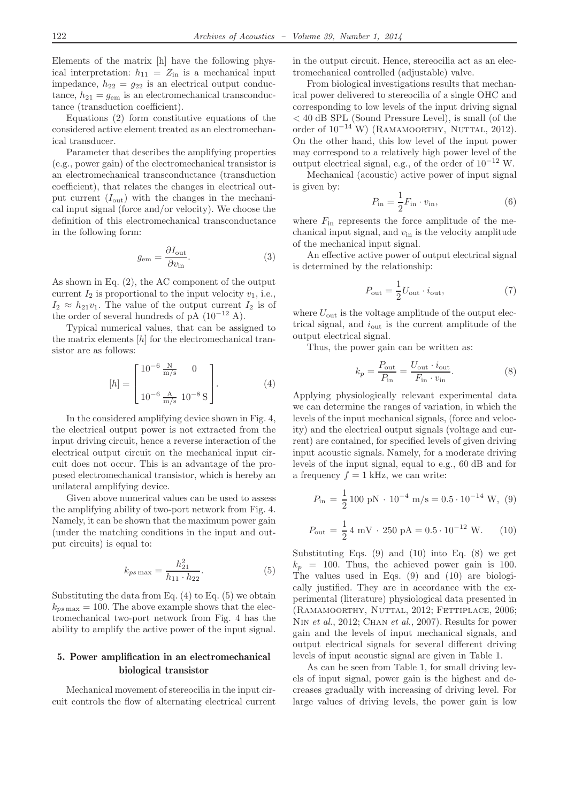Elements of the matrix [h] have the following physical interpretation:  $h_{11} = Z_{\text{in}}$  is a mechanical input impedance,  $h_{22} = g_{22}$  is an electrical output conductance,  $h_{21} = g_{\rm em}$  is an electromechanical transconductance (transduction coefficient).

Equations (2) form constitutive equations of the considered active element treated as an electromechanical transducer.

Parameter that describes the amplifying properties (e.g., power gain) of the electromechanical transistor is an electromechanical transconductance (transduction coefficient), that relates the changes in electrical output current  $(I_{\text{out}})$  with the changes in the mechanical input signal (force and/or velocity). We choose the definition of this electromechanical transconductance in the following form:

$$
g_{\rm em} = \frac{\partial I_{\rm out}}{\partial v_{\rm in}}.\tag{3}
$$

As shown in Eq. (2), the AC component of the output current  $I_2$  is proportional to the input velocity  $v_1$ , i.e.,  $I_2 \approx h_{21}v_1$ . The value of the output current  $I_2$  is of the order of several hundreds of pA  $(10^{-12}$  A).

Typical numerical values, that can be assigned to the matrix elements  $[h]$  for the electromechanical transistor are as follows:

$$
[h] = \begin{bmatrix} 10^{-6} \frac{\text{N}}{\text{m/s}} & 0 \\ 10^{-6} \frac{\text{A}}{\text{m/s}} & 10^{-8} \text{S} \end{bmatrix} . \tag{4}
$$

In the considered amplifying device shown in Fig. 4, the electrical output power is not extracted from the input driving circuit, hence a reverse interaction of the electrical output circuit on the mechanical input circuit does not occur. This is an advantage of the proposed electromechanical transistor, which is hereby an unilateral amplifying device.

Given above numerical values can be used to assess the amplifying ability of two-port network from Fig. 4. Namely, it can be shown that the maximum power gain (under the matching conditions in the input and output circuits) is equal to:

$$
k_{ps \max} = \frac{h_{21}^2}{h_{11} \cdot h_{22}}.\tag{5}
$$

Substituting the data from Eq.  $(4)$  to Eq.  $(5)$  we obtain  $k_{ps \text{max}} = 100$ . The above example shows that the electromechanical two-port network from Fig. 4 has the ability to amplify the active power of the input signal.

# 5. Power amplification in an electromechanical biological transistor

Mechanical movement of stereocilia in the input circuit controls the flow of alternating electrical current in the output circuit. Hence, stereocilia act as an electromechanical controlled (adjustable) valve.

From biological investigations results that mechanical power delivered to stereocilia of a single OHC and corresponding to low levels of the input driving signal < 40 dB SPL (Sound Pressure Level), is small (of the order of  $10^{-14}$  W) (RAMAMOORTHY, NUTTAL, 2012). On the other hand, this low level of the input power may correspond to a relatively high power level of the output electrical signal, e.g., of the order of  $10^{-12}$  W.

Mechanical (acoustic) active power of input signal is given by:

$$
P_{\rm in} = \frac{1}{2} F_{\rm in} \cdot v_{\rm in},\tag{6}
$$

where  $F_{\text{in}}$  represents the force amplitude of the mechanical input signal, and  $v_{\text{in}}$  is the velocity amplitude of the mechanical input signal.

An effective active power of output electrical signal is determined by the relationship:

$$
P_{\text{out}} = \frac{1}{2} U_{\text{out}} \cdot i_{\text{out}},\tag{7}
$$

where  $U_{\text{out}}$  is the voltage amplitude of the output electrical signal, and  $i_{\text{out}}$  is the current amplitude of the output electrical signal.

Thus, the power gain can be written as:

$$
k_p = \frac{P_{\text{out}}}{P_{\text{in}}} = \frac{U_{\text{out}} \cdot i_{\text{out}}}{F_{\text{in}} \cdot v_{\text{in}}}.
$$
 (8)

Applying physiologically relevant experimental data we can determine the ranges of variation, in which the levels of the input mechanical signals, (force and velocity) and the electrical output signals (voltage and current) are contained, for specified levels of given driving input acoustic signals. Namely, for a moderate driving levels of the input signal, equal to e.g., 60 dB and for a frequency  $f = 1$  kHz, we can write:

$$
P_{\rm in} = \frac{1}{2} 100 \, \text{pN} \cdot 10^{-4} \, \text{m/s} = 0.5 \cdot 10^{-14} \, \text{W}, \ (9)
$$

$$
P_{\text{out}} = \frac{1}{2} 4 \text{ mV} \cdot 250 \text{ pA} = 0.5 \cdot 10^{-12} \text{ W.}
$$
 (10)

Substituting Eqs.  $(9)$  and  $(10)$  into Eq.  $(8)$  we get  $k_p = 100$ . Thus, the achieved power gain is 100. The values used in Eqs. (9) and (10) are biologically justified. They are in accordance with the experimental (literature) physiological data presented in (Ramamoorthy, Nuttal, 2012; Fettiplace, 2006; NIN *et al.*, 2012; CHAN *et al.*, 2007). Results for power gain and the levels of input mechanical signals, and output electrical signals for several different driving levels of input acoustic signal are given in Table 1.

As can be seen from Table 1, for small driving levels of input signal, power gain is the highest and decreases gradually with increasing of driving level. For large values of driving levels, the power gain is low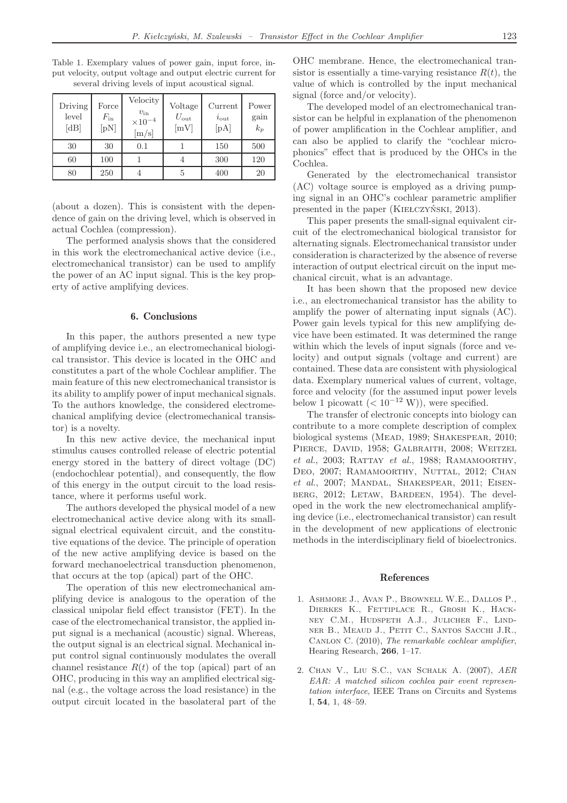| Driving<br>level<br>[dB] | Force<br>$F_{\rm in}$<br>[pN] | Velocity<br>$v_{\rm in}$<br>$\times 10^{-4}$<br>[m/s] | Voltage<br>$U_{\rm out}$<br>[mV] | Current<br>$i_{\text{out}}$<br>[pA] | Power<br>gain<br>$k_p$ |
|--------------------------|-------------------------------|-------------------------------------------------------|----------------------------------|-------------------------------------|------------------------|
| 30                       | 30                            | 0.1                                                   |                                  | 150                                 | 500                    |
| 60                       | 100                           |                                                       |                                  | 300                                 | 120                    |
| 80                       | 250                           |                                                       | 5                                | 400                                 | 20                     |

Table 1. Exemplary values of power gain, input force, input velocity, output voltage and output electric current for several driving levels of input acoustical signal.

(about a dozen). This is consistent with the dependence of gain on the driving level, which is observed in actual Cochlea (compression).

The performed analysis shows that the considered in this work the electromechanical active device (i.e., electromechanical transistor) can be used to amplify the power of an AC input signal. This is the key property of active amplifying devices.

#### 6. Conclusions

In this paper, the authors presented a new type of amplifying device i.e., an electromechanical biological transistor. This device is located in the OHC and constitutes a part of the whole Cochlear amplifier. The main feature of this new electromechanical transistor is its ability to amplify power of input mechanical signals. To the authors knowledge, the considered electromechanical amplifying device (electromechanical transistor) is a novelty.

In this new active device, the mechanical input stimulus causes controlled release of electric potential energy stored in the battery of direct voltage (DC) (endochochlear potential), and consequently, the flow of this energy in the output circuit to the load resistance, where it performs useful work.

The authors developed the physical model of a new electromechanical active device along with its smallsignal electrical equivalent circuit, and the constitutive equations of the device. The principle of operation of the new active amplifying device is based on the forward mechanoelectrical transduction phenomenon, that occurs at the top (apical) part of the OHC.

The operation of this new electromechanical amplifying device is analogous to the operation of the classical unipolar field effect transistor (FET). In the case of the electromechanical transistor, the applied input signal is a mechanical (acoustic) signal. Whereas, the output signal is an electrical signal. Mechanical input control signal continuously modulates the overall channel resistance  $R(t)$  of the top (apical) part of an OHC, producing in this way an amplified electrical signal (e.g., the voltage across the load resistance) in the output circuit located in the basolateral part of the

OHC membrane. Hence, the electromechanical transistor is essentially a time-varying resistance  $R(t)$ , the value of which is controlled by the input mechanical signal (force and/or velocity).

The developed model of an electromechanical transistor can be helpful in explanation of the phenomenon of power amplification in the Cochlear amplifier, and can also be applied to clarify the "cochlear microphonics" effect that is produced by the OHCs in the Cochlea.

Generated by the electromechanical transistor (AC) voltage source is employed as a driving pumping signal in an OHC's cochlear parametric amplifier presented in the paper (KIEŁCZYŃSKI, 2013).

This paper presents the small-signal equivalent circuit of the electromechanical biological transistor for alternating signals. Electromechanical transistor under consideration is characterized by the absence of reverse interaction of output electrical circuit on the input mechanical circuit, what is an advantage.

It has been shown that the proposed new device i.e., an electromechanical transistor has the ability to amplify the power of alternating input signals (AC). Power gain levels typical for this new amplifying device have been estimated. It was determined the range within which the levels of input signals (force and velocity) and output signals (voltage and current) are contained. These data are consistent with physiological data. Exemplary numerical values of current, voltage, force and velocity (for the assumed input power levels below 1 picowatt  $(< 10^{-12} \text{ W})$ , were specified.

The transfer of electronic concepts into biology can contribute to a more complete description of complex biological systems (MEAD, 1989; SHAKESPEAR, 2010; PIERCE, DAVID, 1958; GALBRAITH, 2008; WEITZEL *et al.*, 2003; RATTAY *et al.*, 1988; RAMAMOORTHY, DEO, 2007; RAMAMOORTHY, NUTTAL, 2012; CHAN *et al.*, 2007; Mandal, Shakespear, 2011; Eisenberg, 2012; Letaw, Bardeen, 1954). The developed in the work the new electromechanical amplifying device (i.e., electromechanical transistor) can result in the development of new applications of electronic methods in the interdisciplinary field of bioelectronics.

#### References

- 1. Ashmore J., Avan P., Brownell W.E., Dallos P., Dierkes K., Fettiplace R., Grosh K., Hackney C.M., Hudspeth A.J., Julicher F., Lindner B., Meaud J., Petit C., Santos Sacchi J.R., Canlon C. (2010), *The remarkable cochlear amplifier*, Hearing Research, **266**, 1–17.
- 2. Chan V., Liu S.C., van Schalk A. (2007), *AER EAR: A matched silicon cochlea pair event representation interface*, IEEE Trans on Circuits and Systems I, **54**, 1, 48–59.